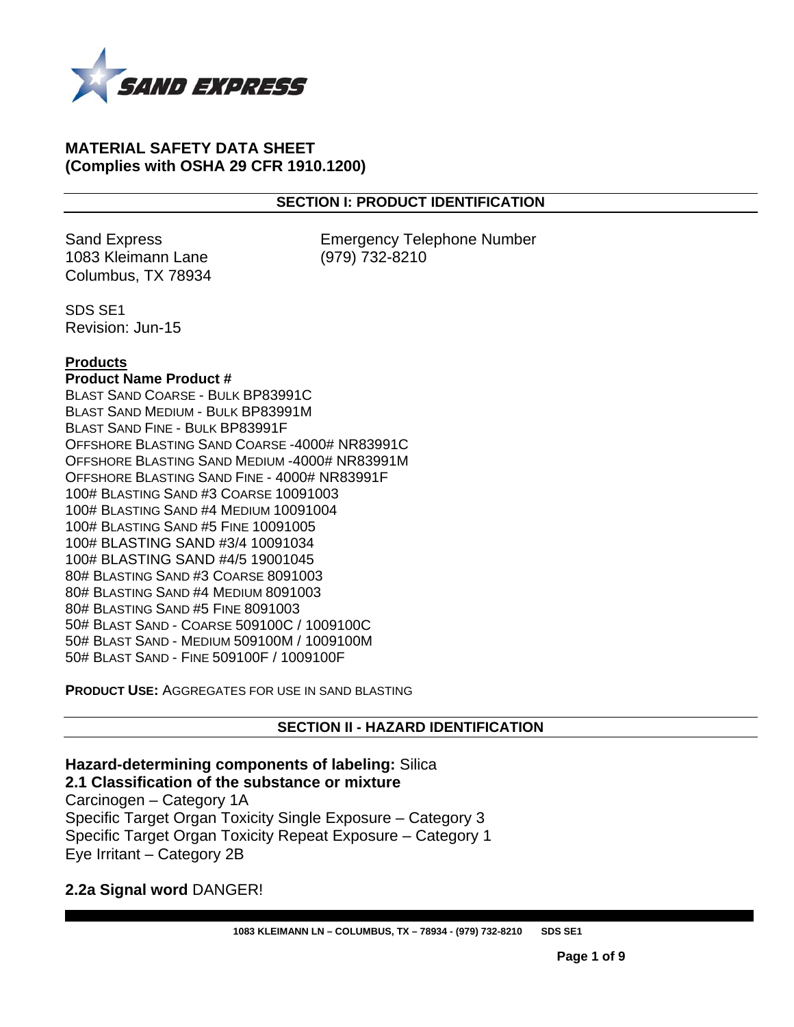

#### **MATERIAL SAFETY DATA SHEET (Complies with OSHA 29 CFR 1910.1200)**

#### **SECTION I: PRODUCT IDENTIFICATION**

1083 Kleimann Lane (979) 732-8210 Columbus, TX 78934

Sand Express **Emergency Telephone Number** 

SDS SE1 Revision: Jun-15

#### **Products**

#### **Product Name Product #**

BLAST SAND COARSE - BULK BP83991C BLAST SAND MEDIUM - BULK BP83991M BLAST SAND FINE - BULK BP83991F OFFSHORE BLASTING SAND COARSE -4000# NR83991C OFFSHORE BLASTING SAND MEDIUM -4000# NR83991M OFFSHORE BLASTING SAND FINE - 4000# NR83991F 100# BLASTING SAND #3 COARSE 10091003 100# BLASTING SAND #4 MEDIUM 10091004 100# BLASTING SAND #5 FINE 10091005 100# BLASTING SAND #3/4 10091034 100# BLASTING SAND #4/5 19001045 80# BLASTING SAND #3 COARSE 8091003 80# BLASTING SAND #4 MEDIUM 8091003 80# BLASTING SAND #5 FINE 8091003 50# BLAST SAND - COARSE 509100C / 1009100C 50# BLAST SAND - MEDIUM 509100M / 1009100M 50# BLAST SAND - FINE 509100F / 1009100F

**PRODUCT USE:** AGGREGATES FOR USE IN SAND BLASTING

**SECTION II - HAZARD IDENTIFICATION** 

**Hazard-determining components of labeling:** Silica **2.1 Classification of the substance or mixture** 

Carcinogen – Category 1A Specific Target Organ Toxicity Single Exposure – Category 3 Specific Target Organ Toxicity Repeat Exposure – Category 1 Eye Irritant – Category 2B

**2.2a Signal word** DANGER!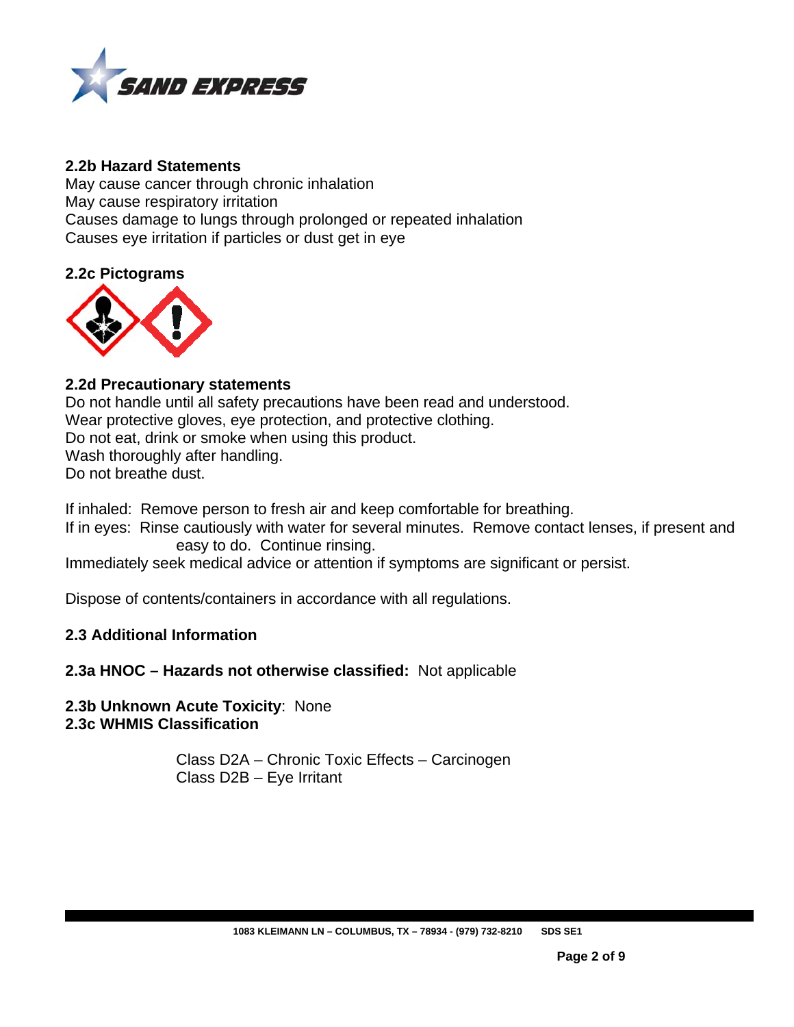

# **2.2b Hazard Statements**

May cause cancer through chronic inhalation May cause respiratory irritation Causes damage to lungs through prolonged or repeated inhalation Causes eye irritation if particles or dust get in eye

# **2.2c Pictograms**



# **2.2d Precautionary statements**

Do not handle until all safety precautions have been read and understood. Wear protective gloves, eye protection, and protective clothing. Do not eat, drink or smoke when using this product. Wash thoroughly after handling. Do not breathe dust.

If inhaled: Remove person to fresh air and keep comfortable for breathing.

If in eyes: Rinse cautiously with water for several minutes. Remove contact lenses, if present and easy to do. Continue rinsing.

Immediately seek medical advice or attention if symptoms are significant or persist.

Dispose of contents/containers in accordance with all regulations.

# **2.3 Additional Information**

# **2.3a HNOC – Hazards not otherwise classified:** Not applicable

**2.3b Unknown Acute Toxicity**: None **2.3c WHMIS Classification** 

> Class D2A – Chronic Toxic Effects – Carcinogen Class D2B – Eye Irritant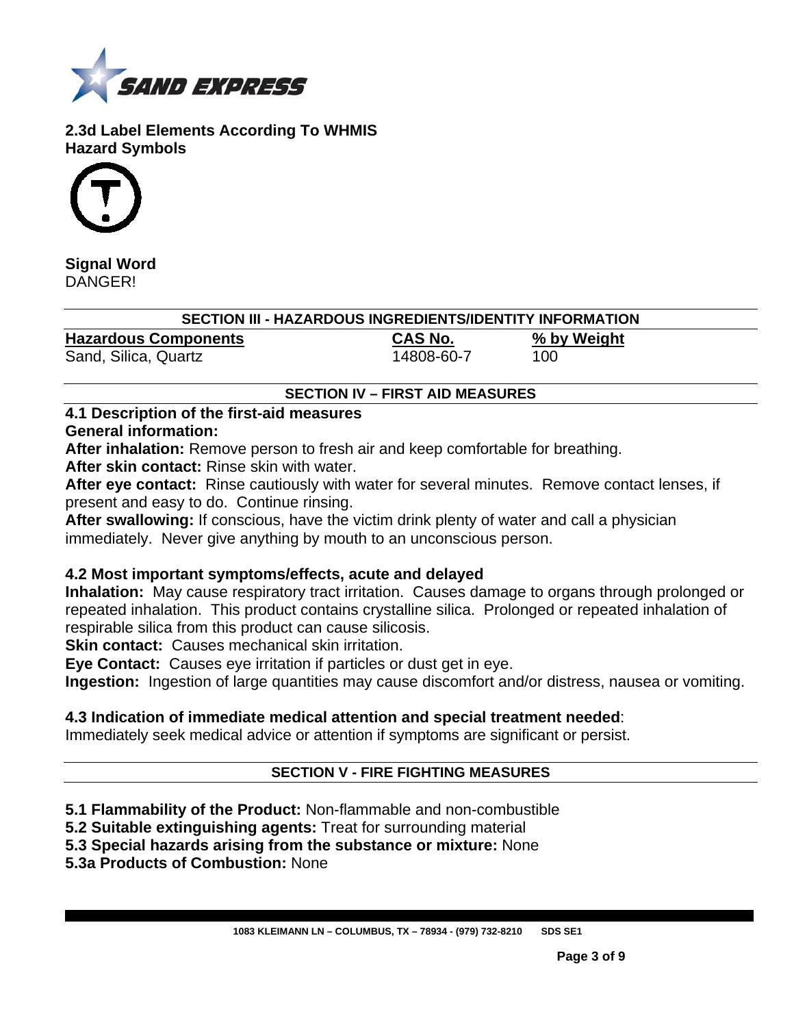

**2.3d Label Elements According To WHMIS Hazard Symbols** 



**Signal Word DANGER!** 

# **SECTION III - HAZARDOUS INGREDIENTS/IDENTITY INFORMATION**

**Hazardous Components CAS No. % by Weight**  Sand, Silica, Quartz 14808-60-7 100

# **SECTION IV – FIRST AID MEASURES**

# **4.1 Description of the first-aid measures**

# **General information:**

**After inhalation:** Remove person to fresh air and keep comfortable for breathing. **After skin contact:** Rinse skin with water.

**After eye contact:** Rinse cautiously with water for several minutes. Remove contact lenses, if present and easy to do. Continue rinsing.

**After swallowing:** If conscious, have the victim drink plenty of water and call a physician immediately. Never give anything by mouth to an unconscious person.

# **4.2 Most important symptoms/effects, acute and delayed**

**Inhalation:** May cause respiratory tract irritation. Causes damage to organs through prolonged or repeated inhalation. This product contains crystalline silica. Prolonged or repeated inhalation of respirable silica from this product can cause silicosis.

**Skin contact:** Causes mechanical skin irritation.

**Eye Contact:** Causes eye irritation if particles or dust get in eye.

**Ingestion:** Ingestion of large quantities may cause discomfort and/or distress, nausea or vomiting.

# **4.3 Indication of immediate medical attention and special treatment needed**:

Immediately seek medical advice or attention if symptoms are significant or persist.

# **SECTION V - FIRE FIGHTING MEASURES**

- **5.1 Flammability of the Product:** Non-flammable and non-combustible
- **5.2 Suitable extinguishing agents:** Treat for surrounding material

**5.3 Special hazards arising from the substance or mixture:** None

**5.3a Products of Combustion:** None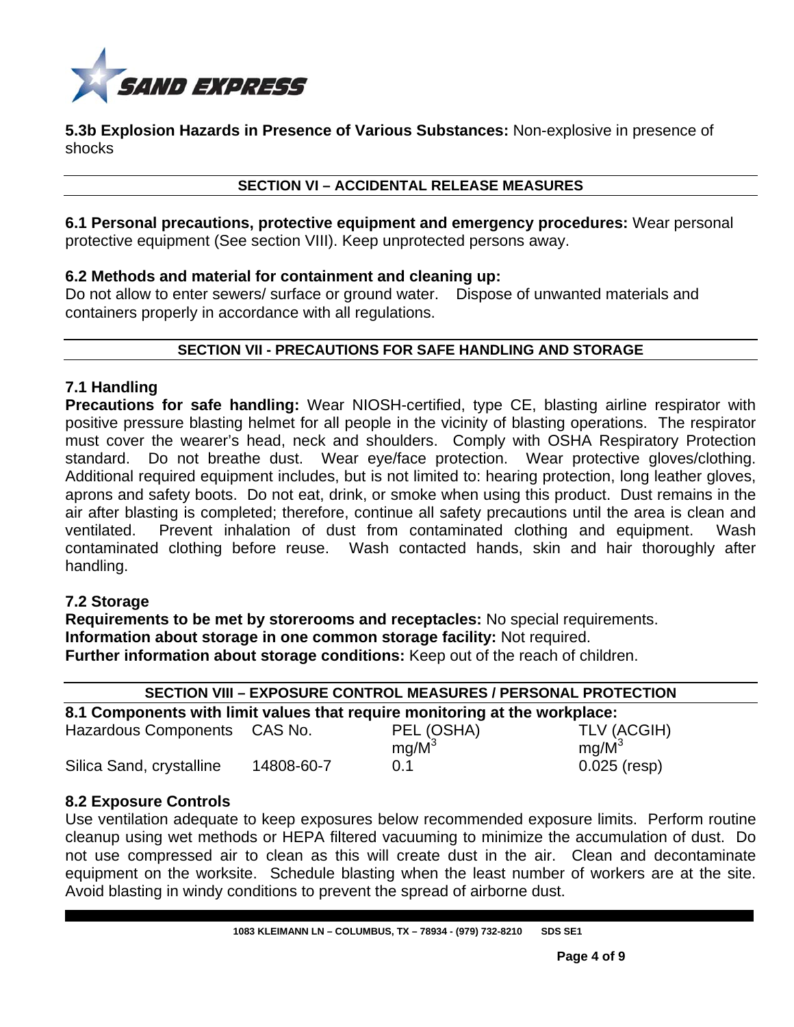

**5.3b Explosion Hazards in Presence of Various Substances:** Non-explosive in presence of shocks

#### **SECTION VI – ACCIDENTAL RELEASE MEASURES**

**6.1 Personal precautions, protective equipment and emergency procedures:** Wear personal protective equipment (See section VIII). Keep unprotected persons away.

#### **6.2 Methods and material for containment and cleaning up:**

Do not allow to enter sewers/ surface or ground water. Dispose of unwanted materials and containers properly in accordance with all regulations.

#### **SECTION VII - PRECAUTIONS FOR SAFE HANDLING AND STORAGE**

# **7.1 Handling**

**Precautions for safe handling:** Wear NIOSH-certified, type CE, blasting airline respirator with positive pressure blasting helmet for all people in the vicinity of blasting operations. The respirator must cover the wearer's head, neck and shoulders. Comply with OSHA Respiratory Protection standard. Do not breathe dust. Wear eye/face protection. Wear protective gloves/clothing. Additional required equipment includes, but is not limited to: hearing protection, long leather gloves, aprons and safety boots. Do not eat, drink, or smoke when using this product. Dust remains in the air after blasting is completed; therefore, continue all safety precautions until the area is clean and ventilated. Prevent inhalation of dust from contaminated clothing and equipment. Wash contaminated clothing before reuse. Wash contacted hands, skin and hair thoroughly after handling.

# **7.2 Storage**

**Requirements to be met by storerooms and receptacles:** No special requirements. **Information about storage in one common storage facility:** Not required. **Further information about storage conditions:** Keep out of the reach of children.

| <b>SECTION VIII - EXPOSURE CONTROL MEASURES / PERSONAL PROTECTION</b>      |            |            |                |  |  |  |
|----------------------------------------------------------------------------|------------|------------|----------------|--|--|--|
| 8.1 Components with limit values that require monitoring at the workplace: |            |            |                |  |  |  |
| Hazardous Components CAS No.                                               |            | PEL (OSHA) | TLV (ACGIH)    |  |  |  |
|                                                                            |            | $mg/M^3$   | $mq/M^3$       |  |  |  |
| Silica Sand, crystalline                                                   | 14808-60-7 | 0.1        | $0.025$ (resp) |  |  |  |

# **8.2 Exposure Controls**

Use ventilation adequate to keep exposures below recommended exposure limits. Perform routine cleanup using wet methods or HEPA filtered vacuuming to minimize the accumulation of dust. Do not use compressed air to clean as this will create dust in the air. Clean and decontaminate equipment on the worksite. Schedule blasting when the least number of workers are at the site. Avoid blasting in windy conditions to prevent the spread of airborne dust.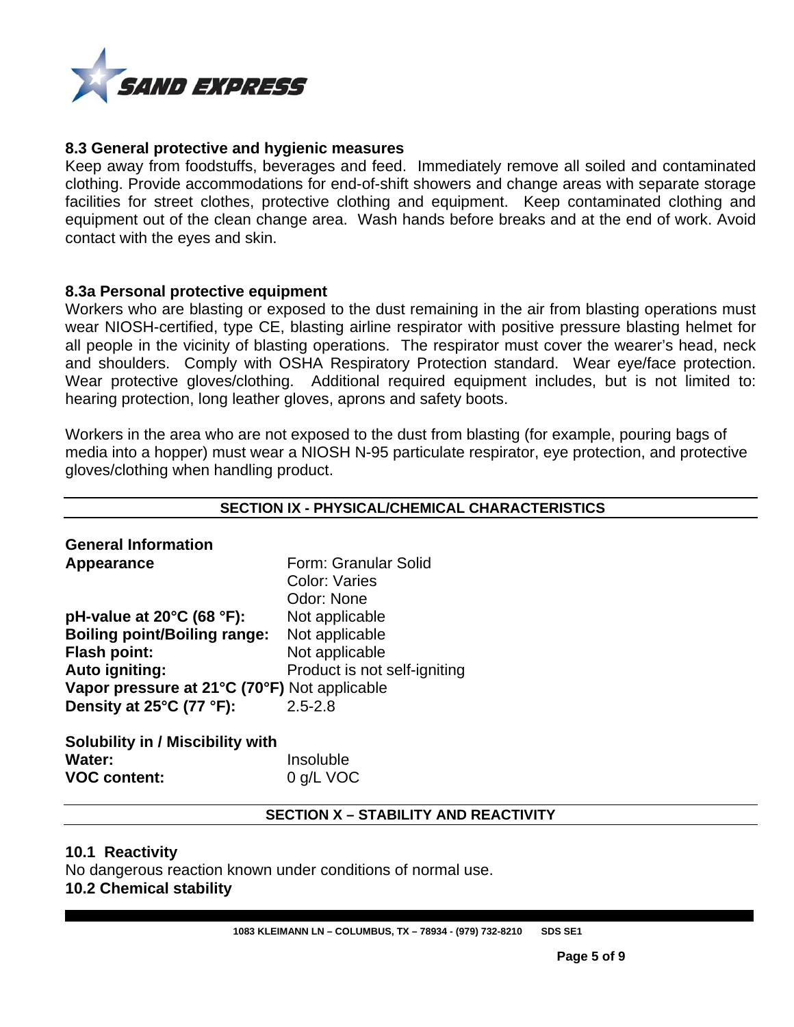

#### **8.3 General protective and hygienic measures**

Keep away from foodstuffs, beverages and feed. Immediately remove all soiled and contaminated clothing. Provide accommodations for end-of-shift showers and change areas with separate storage facilities for street clothes, protective clothing and equipment. Keep contaminated clothing and equipment out of the clean change area. Wash hands before breaks and at the end of work. Avoid contact with the eyes and skin.

#### **8.3a Personal protective equipment**

Workers who are blasting or exposed to the dust remaining in the air from blasting operations must wear NIOSH-certified, type CE, blasting airline respirator with positive pressure blasting helmet for all people in the vicinity of blasting operations. The respirator must cover the wearer's head, neck and shoulders. Comply with OSHA Respiratory Protection standard. Wear eye/face protection. Wear protective gloves/clothing. Additional required equipment includes, but is not limited to: hearing protection, long leather gloves, aprons and safety boots.

Workers in the area who are not exposed to the dust from blasting (for example, pouring bags of media into a hopper) must wear a NIOSH N-95 particulate respirator, eye protection, and protective gloves/clothing when handling product.

#### **SECTION IX - PHYSICAL/CHEMICAL CHARACTERISTICS**

| <b>General Information</b>                    |                              |
|-----------------------------------------------|------------------------------|
| Appearance                                    | Form: Granular Solid         |
|                                               | <b>Color: Varies</b>         |
|                                               | Odor: None                   |
| pH-value at $20^{\circ}$ C (68 $^{\circ}$ F): | Not applicable               |
| <b>Boiling point/Boiling range:</b>           | Not applicable               |
| <b>Flash point:</b>                           | Not applicable               |
| Auto igniting:                                | Product is not self-igniting |
| Vapor pressure at 21°C (70°F) Not applicable  |                              |
| Density at 25°C (77 °F):                      | $2.5 - 2.8$                  |
|                                               |                              |

| <b>Solubility in / Miscibility with</b> |           |
|-----------------------------------------|-----------|
| Water:                                  | Insoluble |
| <b>VOC content:</b>                     | 0 g/L VOC |

#### **SECTION X – STABILITY AND REACTIVITY**

#### **10.1 Reactivity**

No dangerous reaction known under conditions of normal use. **10.2 Chemical stability**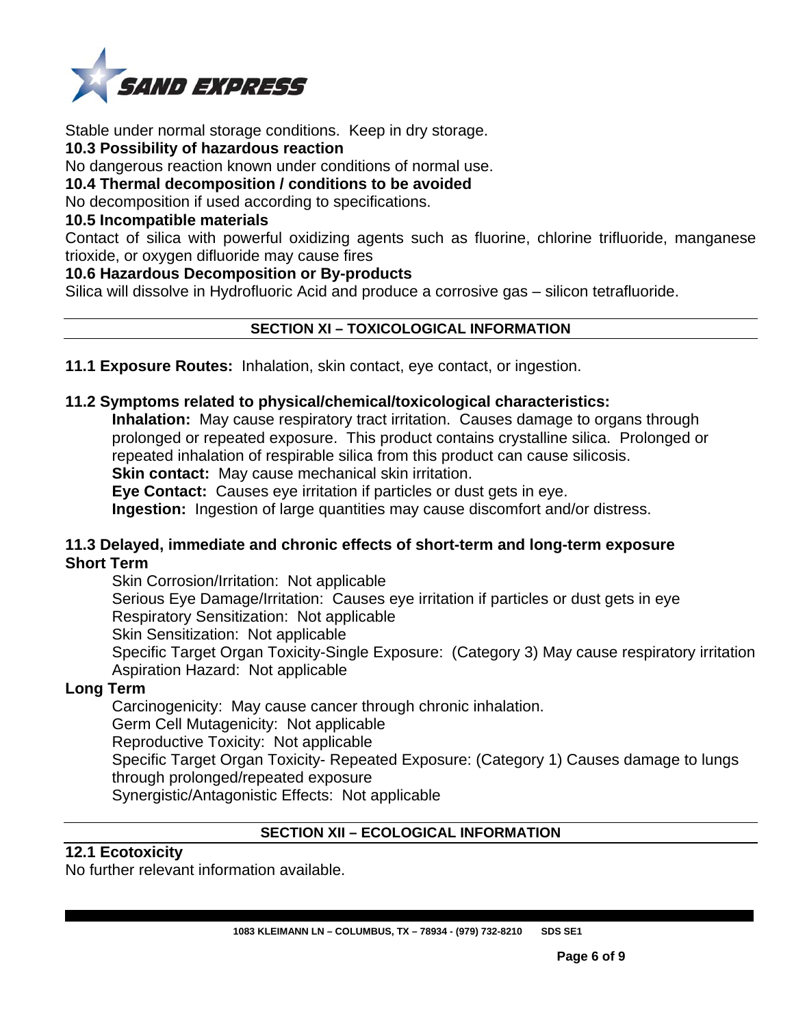

Stable under normal storage conditions. Keep in dry storage.

#### **10.3 Possibility of hazardous reaction**

No dangerous reaction known under conditions of normal use.

#### **10.4 Thermal decomposition / conditions to be avoided**

No decomposition if used according to specifications.

#### **10.5 Incompatible materials**

Contact of silica with powerful oxidizing agents such as fluorine, chlorine trifluoride, manganese trioxide, or oxygen difluoride may cause fires

#### **10.6 Hazardous Decomposition or By-products**

Silica will dissolve in Hydrofluoric Acid and produce a corrosive gas – silicon tetrafluoride.

# **SECTION XI – TOXICOLOGICAL INFORMATION**

**11.1 Exposure Routes:** Inhalation, skin contact, eye contact, or ingestion.

# **11.2 Symptoms related to physical/chemical/toxicological characteristics:**

**Inhalation:** May cause respiratory tract irritation. Causes damage to organs through prolonged or repeated exposure. This product contains crystalline silica. Prolonged or repeated inhalation of respirable silica from this product can cause silicosis. **Skin contact:** May cause mechanical skin irritation.

**Eye Contact:** Causes eye irritation if particles or dust gets in eye.

**Ingestion:** Ingestion of large quantities may cause discomfort and/or distress.

#### **11.3 Delayed, immediate and chronic effects of short-term and long-term exposure Short Term**

Skin Corrosion/Irritation: Not applicable Serious Eye Damage/Irritation: Causes eye irritation if particles or dust gets in eye Respiratory Sensitization: Not applicable Skin Sensitization: Not applicable Specific Target Organ Toxicity-Single Exposure: (Category 3) May cause respiratory irritation Aspiration Hazard: Not applicable

# **Long Term**

Carcinogenicity: May cause cancer through chronic inhalation. Germ Cell Mutagenicity: Not applicable Reproductive Toxicity: Not applicable Specific Target Organ Toxicity- Repeated Exposure: (Category 1) Causes damage to lungs

through prolonged/repeated exposure

Synergistic/Antagonistic Effects: Not applicable

# **SECTION XII – ECOLOGICAL INFORMATION**

# **12.1 Ecotoxicity**

No further relevant information available.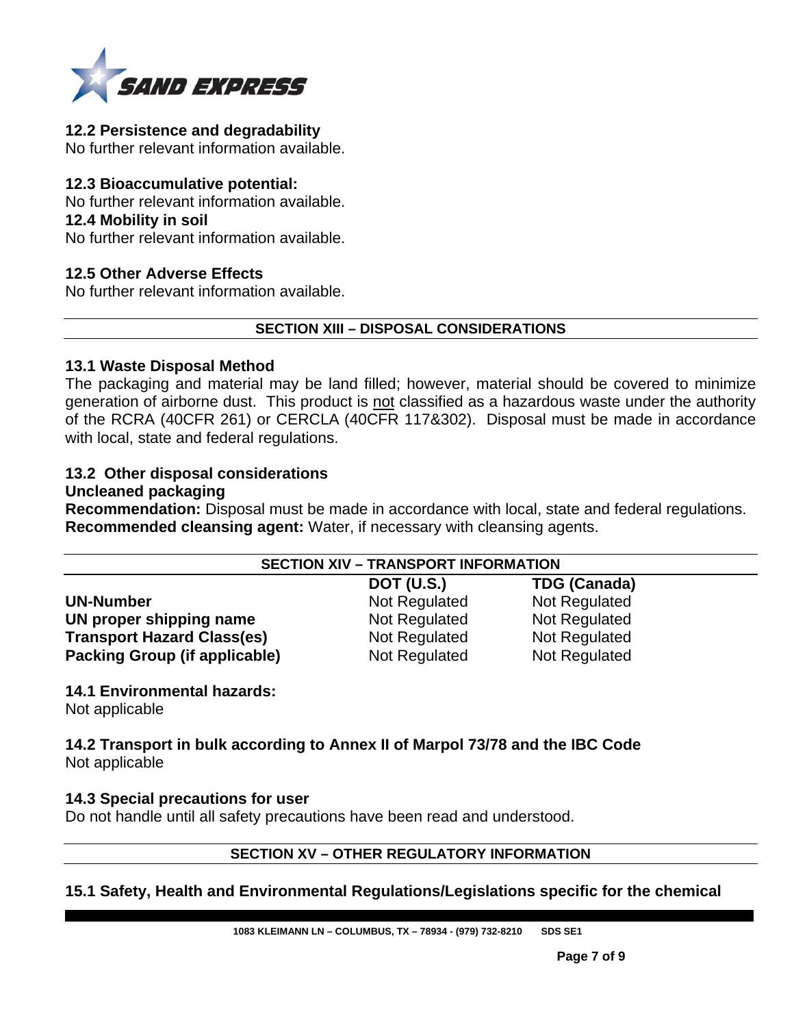

#### **12.2 Persistence and degradability**

No further relevant information available.

#### **12.3 Bioaccumulative potential:**

No further relevant information available.

#### **12.4 Mobility in soil**

No further relevant information available.

# **12.5 Other Adverse Effects**

No further relevant information available.

#### **SECTION XIII – DISPOSAL CONSIDERATIONS**

#### **13.1 Waste Disposal Method**

The packaging and material may be land filled; however, material should be covered to minimize generation of airborne dust. This product is not classified as a hazardous waste under the authority of the RCRA (40CFR 261) or CERCLA (40CFR 117&302). Disposal must be made in accordance with local, state and federal regulations.

# **13.2 Other disposal considerations**

# **Uncleaned packaging**

**Recommendation:** Disposal must be made in accordance with local, state and federal regulations. **Recommended cleansing agent:** Water, if necessary with cleansing agents.

| <b>SECTION XIV - TRANSPORT INFORMATION</b> |                   |                     |  |  |
|--------------------------------------------|-------------------|---------------------|--|--|
|                                            | <b>DOT (U.S.)</b> | <b>TDG (Canada)</b> |  |  |
| <b>UN-Number</b>                           | Not Regulated     | Not Regulated       |  |  |
| UN proper shipping name                    | Not Regulated     | Not Regulated       |  |  |
| <b>Transport Hazard Class(es)</b>          | Not Regulated     | Not Regulated       |  |  |
| Packing Group (if applicable)              | Not Regulated     | Not Regulated       |  |  |

# **14.1 Environmental hazards:**

Not applicable

**14.2 Transport in bulk according to Annex II of Marpol 73/78 and the IBC Code**  Not applicable

#### **14.3 Special precautions for user**

Do not handle until all safety precautions have been read and understood.

#### **SECTION XV – OTHER REGULATORY INFORMATION**

# **15.1 Safety, Health and Environmental Regulations/Legislations specific for the chemical**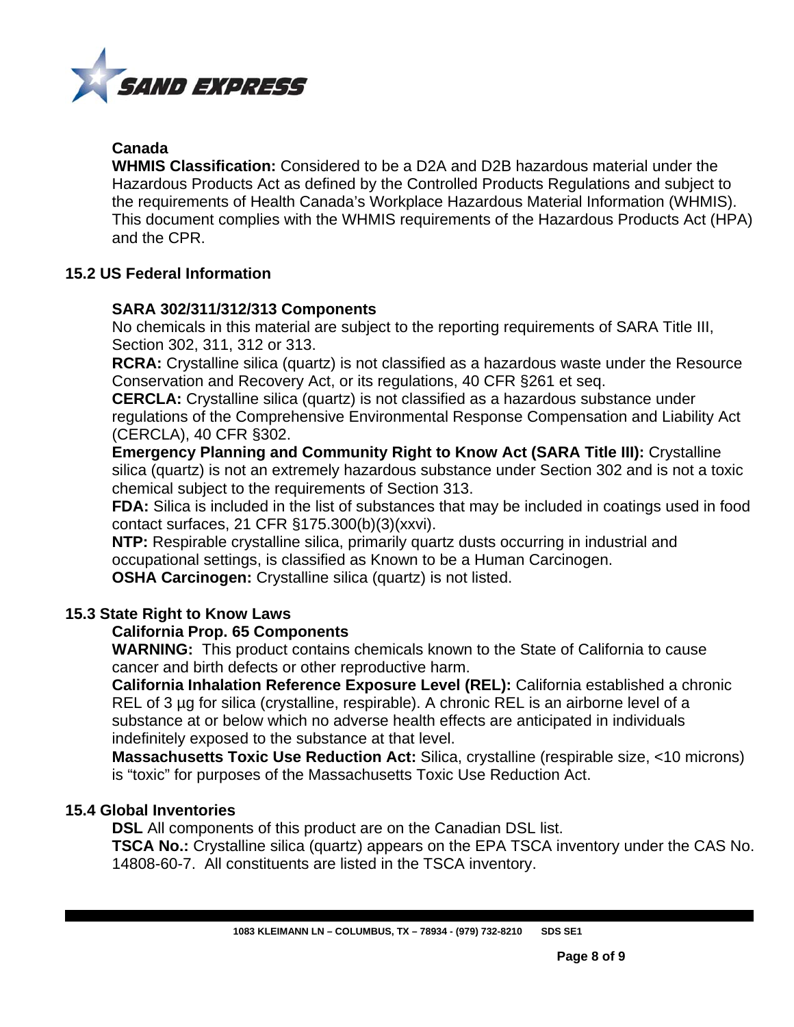

# **Canada**

**WHMIS Classification:** Considered to be a D2A and D2B hazardous material under the Hazardous Products Act as defined by the Controlled Products Regulations and subject to the requirements of Health Canada's Workplace Hazardous Material Information (WHMIS). This document complies with the WHMIS requirements of the Hazardous Products Act (HPA) and the CPR.

# **15.2 US Federal Information**

# **SARA 302/311/312/313 Components**

No chemicals in this material are subject to the reporting requirements of SARA Title III, Section 302, 311, 312 or 313.

**RCRA:** Crystalline silica (quartz) is not classified as a hazardous waste under the Resource Conservation and Recovery Act, or its regulations, 40 CFR §261 et seq.

**CERCLA:** Crystalline silica (quartz) is not classified as a hazardous substance under regulations of the Comprehensive Environmental Response Compensation and Liability Act (CERCLA), 40 CFR §302.

**Emergency Planning and Community Right to Know Act (SARA Title III):** Crystalline silica (quartz) is not an extremely hazardous substance under Section 302 and is not a toxic chemical subject to the requirements of Section 313.

**FDA:** Silica is included in the list of substances that may be included in coatings used in food contact surfaces, 21 CFR §175.300(b)(3)(xxvi).

**NTP:** Respirable crystalline silica, primarily quartz dusts occurring in industrial and occupational settings, is classified as Known to be a Human Carcinogen. **OSHA Carcinogen:** Crystalline silica (quartz) is not listed.

# **15.3 State Right to Know Laws**

# **California Prop. 65 Components**

**WARNING:** This product contains chemicals known to the State of California to cause cancer and birth defects or other reproductive harm.

**California Inhalation Reference Exposure Level (REL):** California established a chronic REL of 3 µg for silica (crystalline, respirable). A chronic REL is an airborne level of a substance at or below which no adverse health effects are anticipated in individuals indefinitely exposed to the substance at that level.

**Massachusetts Toxic Use Reduction Act:** Silica, crystalline (respirable size, <10 microns) is "toxic" for purposes of the Massachusetts Toxic Use Reduction Act.

# **15.4 Global Inventories**

**DSL** All components of this product are on the Canadian DSL list. **TSCA No.:** Crystalline silica (quartz) appears on the EPA TSCA inventory under the CAS No.

14808-60-7. All constituents are listed in the TSCA inventory.